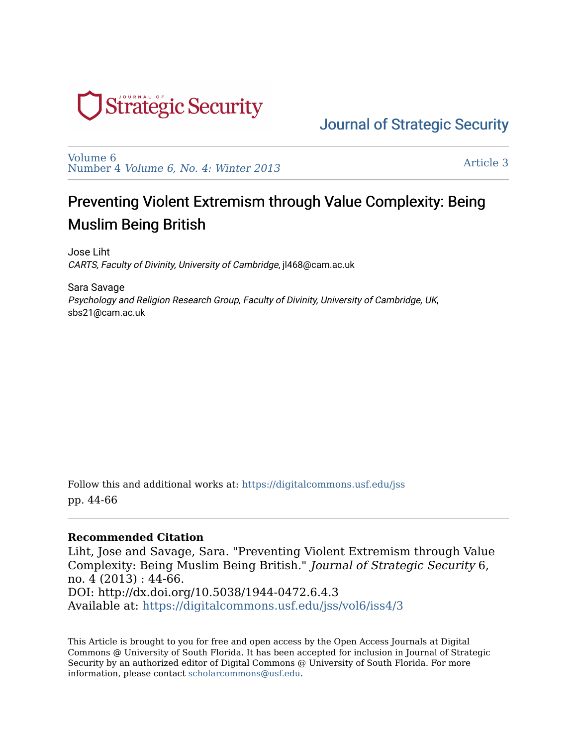

# [Journal of Strategic Security](https://digitalcommons.usf.edu/jss)

[Volume 6](https://digitalcommons.usf.edu/jss/vol6)  Number 4 [Volume 6, No. 4: Winter 2013](https://digitalcommons.usf.edu/jss/vol6/iss4)

[Article 3](https://digitalcommons.usf.edu/jss/vol6/iss4/3) 

# Preventing Violent Extremism through Value Complexity: Being Muslim Being British

Jose Liht CARTS, Faculty of Divinity, University of Cambridge, jl468@cam.ac.uk

Sara Savage Psychology and Religion Research Group, Faculty of Divinity, University of Cambridge, UK, sbs21@cam.ac.uk

Follow this and additional works at: [https://digitalcommons.usf.edu/jss](https://digitalcommons.usf.edu/jss?utm_source=digitalcommons.usf.edu%2Fjss%2Fvol6%2Fiss4%2F3&utm_medium=PDF&utm_campaign=PDFCoverPages) pp. 44-66

#### **Recommended Citation**

Liht, Jose and Savage, Sara. "Preventing Violent Extremism through Value Complexity: Being Muslim Being British." Journal of Strategic Security 6, no. 4 (2013) : 44-66. DOI: http://dx.doi.org/10.5038/1944-0472.6.4.3 Available at: [https://digitalcommons.usf.edu/jss/vol6/iss4/3](https://digitalcommons.usf.edu/jss/vol6/iss4/3?utm_source=digitalcommons.usf.edu%2Fjss%2Fvol6%2Fiss4%2F3&utm_medium=PDF&utm_campaign=PDFCoverPages)

This Article is brought to you for free and open access by the Open Access Journals at Digital Commons @ University of South Florida. It has been accepted for inclusion in Journal of Strategic Security by an authorized editor of Digital Commons @ University of South Florida. For more information, please contact [scholarcommons@usf.edu.](mailto:scholarcommons@usf.edu)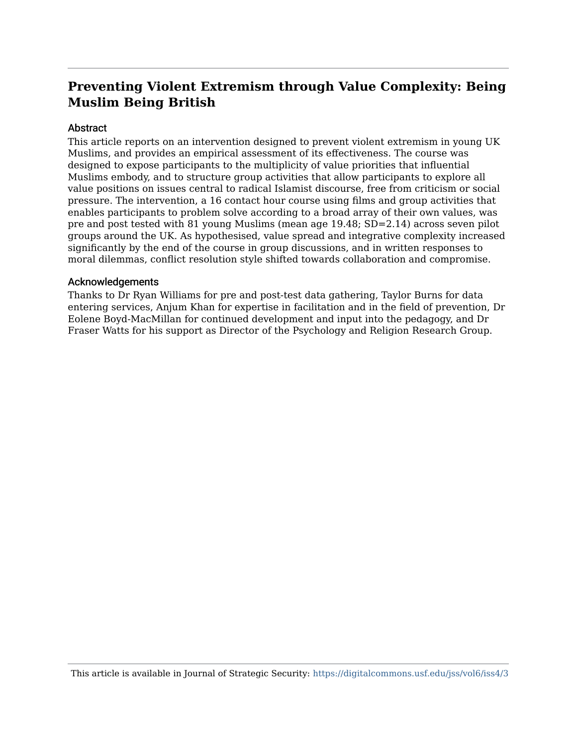# **Preventing Violent Extremism through Value Complexity: Being Muslim Being British**

#### Abstract

This article reports on an intervention designed to prevent violent extremism in young UK Muslims, and provides an empirical assessment of its effectiveness. The course was designed to expose participants to the multiplicity of value priorities that influential Muslims embody, and to structure group activities that allow participants to explore all value positions on issues central to radical Islamist discourse, free from criticism or social pressure. The intervention, a 16 contact hour course using films and group activities that enables participants to problem solve according to a broad array of their own values, was pre and post tested with 81 young Muslims (mean age 19.48; SD=2.14) across seven pilot groups around the UK. As hypothesised, value spread and integrative complexity increased significantly by the end of the course in group discussions, and in written responses to moral dilemmas, conflict resolution style shifted towards collaboration and compromise.

#### Acknowledgements

Thanks to Dr Ryan Williams for pre and post-test data gathering, Taylor Burns for data entering services, Anjum Khan for expertise in facilitation and in the field of prevention, Dr Eolene Boyd-MacMillan for continued development and input into the pedagogy, and Dr Fraser Watts for his support as Director of the Psychology and Religion Research Group.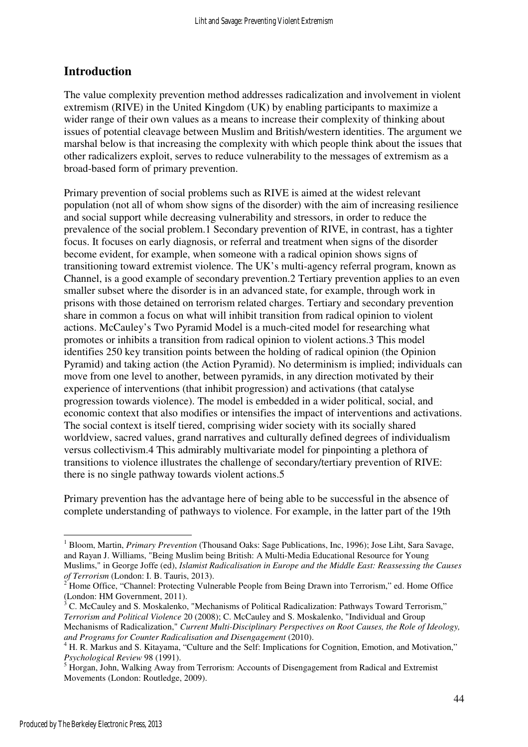# **Introduction**

The value complexity prevention method addresses radicalization and involvement in violent extremism (RIVE) in the United Kingdom (UK) by enabling participants to maximize a wider range of their own values as a means to increase their complexity of thinking about issues of potential cleavage between Muslim and British/western identities. The argument we marshal below is that increasing the complexity with which people think about the issues that other radicalizers exploit, serves to reduce vulnerability to the messages of extremism as a broad-based form of primary prevention.

Primary prevention of social problems such as RIVE is aimed at the widest relevant population (not all of whom show signs of the disorder) with the aim of increasing resilience and social support while decreasing vulnerability and stressors, in order to reduce the prevalence of the social problem.1 Secondary prevention of RIVE, in contrast, has a tighter focus. It focuses on early diagnosis, or referral and treatment when signs of the disorder become evident, for example, when someone with a radical opinion shows signs of transitioning toward extremist violence. The UK's multi-agency referral program, known as Channel, is a good example of secondary prevention.2 Tertiary prevention applies to an even smaller subset where the disorder is in an advanced state, for example, through work in prisons with those detained on terrorism related charges. Tertiary and secondary prevention share in common a focus on what will inhibit transition from radical opinion to violent actions. McCauley's Two Pyramid Model is a much-cited model for researching what promotes or inhibits a transition from radical opinion to violent actions.3 This model identifies 250 key transition points between the holding of radical opinion (the Opinion Pyramid) and taking action (the Action Pyramid). No determinism is implied; individuals can move from one level to another, between pyramids, in any direction motivated by their experience of interventions (that inhibit progression) and activations (that catalyse progression towards violence). The model is embedded in a wider political, social, and economic context that also modifies or intensifies the impact of interventions and activations. The social context is itself tiered, comprising wider society with its socially shared worldview, sacred values, grand narratives and culturally defined degrees of individualism versus collectivism.4 This admirably multivariate model for pinpointing a plethora of transitions to violence illustrates the challenge of secondary/tertiary prevention of RIVE: there is no single pathway towards violent actions.5

Primary prevention has the advantage here of being able to be successful in the absence of complete understanding of pathways to violence. For example, in the latter part of the 19th

<sup>&</sup>lt;sup>1</sup> Bloom, Martin, *Primary Prevention* (Thousand Oaks: Sage Publications, Inc, 1996); Jose Liht, Sara Savage, and Rayan J. Williams, "Being Muslim being British: A Multi-Media Educational Resource for Young Muslims," in George Joffe (ed), *Islamist Radicalisation in Europe and the Middle East: Reassessing the Causes of Terrorism* (London: I. B. Tauris, 2013).<br><sup>2</sup> Home Office, "Channel: Protecting Vulne

Home Office, "Channel: Protecting Vulnerable People from Being Drawn into Terrorism," ed. Home Office (London: HM Government, 2011).

<sup>3</sup> C. McCauley and S. Moskalenko, "Mechanisms of Political Radicalization: Pathways Toward Terrorism," *Terrorism and Political Violence* 20 (2008); C. McCauley and S. Moskalenko, "Individual and Group Mechanisms of Radicalization," *Current Multi-Disciplinary Perspectives on Root Causes, the Role of Ideology, and Programs for Counter Radicalisation and Disengagement* (2010).

<sup>&</sup>lt;sup>4</sup> H. R. Markus and S. Kitayama, "Culture and the Self: Implications for Cognition, Emotion, and Motivation," *Psychological Review* 98 (1991).

<sup>&</sup>lt;sup>5</sup> Horgan, John, Walking Away from Terrorism: Accounts of Disengagement from Radical and Extremist Movements (London: Routledge, 2009).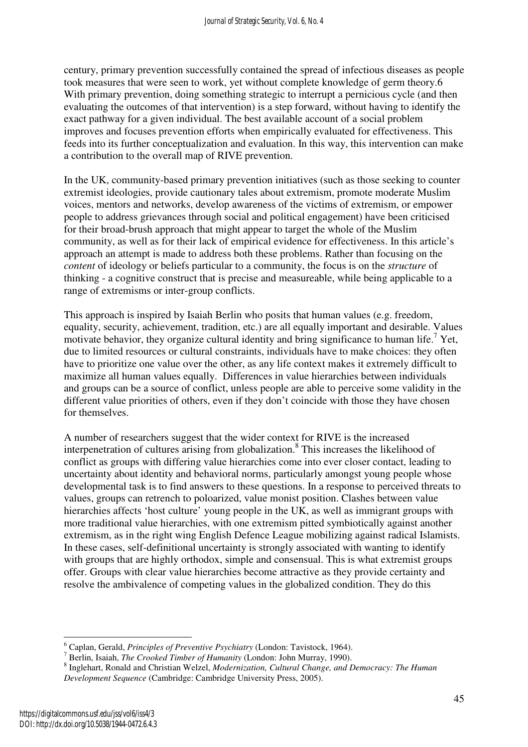century, primary prevention successfully contained the spread of infectious diseases as people took measures that were seen to work, yet without complete knowledge of germ theory.6 With primary prevention, doing something strategic to interrupt a pernicious cycle (and then evaluating the outcomes of that intervention) is a step forward, without having to identify the exact pathway for a given individual. The best available account of a social problem improves and focuses prevention efforts when empirically evaluated for effectiveness. This feeds into its further conceptualization and evaluation. In this way, this intervention can make a contribution to the overall map of RIVE prevention.

In the UK, community-based primary prevention initiatives (such as those seeking to counter extremist ideologies, provide cautionary tales about extremism, promote moderate Muslim voices, mentors and networks, develop awareness of the victims of extremism, or empower people to address grievances through social and political engagement) have been criticised for their broad-brush approach that might appear to target the whole of the Muslim community, as well as for their lack of empirical evidence for effectiveness. In this article's approach an attempt is made to address both these problems. Rather than focusing on the *content* of ideology or beliefs particular to a community, the focus is on the *structure* of thinking - a cognitive construct that is precise and measureable, while being applicable to a range of extremisms or inter-group conflicts.

This approach is inspired by Isaiah Berlin who posits that human values (e.g. freedom, equality, security, achievement, tradition, etc.) are all equally important and desirable. Values motivate behavior, they organize cultural identity and bring significance to human life.<sup>7</sup> Yet, due to limited resources or cultural constraints, individuals have to make choices: they often have to prioritize one value over the other, as any life context makes it extremely difficult to maximize all human values equally. Differences in value hierarchies between individuals and groups can be a source of conflict, unless people are able to perceive some validity in the different value priorities of others, even if they don't coincide with those they have chosen for themselves.

A number of researchers suggest that the wider context for RIVE is the increased interpenetration of cultures arising from globalization.<sup>8</sup> This increases the likelihood of conflict as groups with differing value hierarchies come into ever closer contact, leading to uncertainty about identity and behavioral norms, particularly amongst young people whose developmental task is to find answers to these questions. In a response to perceived threats to values, groups can retrench to poloarized, value monist position. Clashes between value hierarchies affects 'host culture' young people in the UK, as well as immigrant groups with more traditional value hierarchies, with one extremism pitted symbiotically against another extremism, as in the right wing English Defence League mobilizing against radical Islamists. In these cases, self-definitional uncertainty is strongly associated with wanting to identify with groups that are highly orthodox, simple and consensual. This is what extremist groups offer. Groups with clear value hierarchies become attractive as they provide certainty and resolve the ambivalence of competing values in the globalized condition. They do this

<sup>&</sup>lt;sup>6</sup> Caplan, Gerald, *Principles of Preventive Psychiatry* (London: Tavistock, 1964).<br><sup>7</sup> Berlin, Isaiah, *The Crooked Timber of Humanity* (London: John Murray, 1990).

<sup>8</sup> Inglehart, Ronald and Christian Welzel, *Modernization, Cultural Change, and Democracy: The Human Development Sequence* (Cambridge: Cambridge University Press, 2005).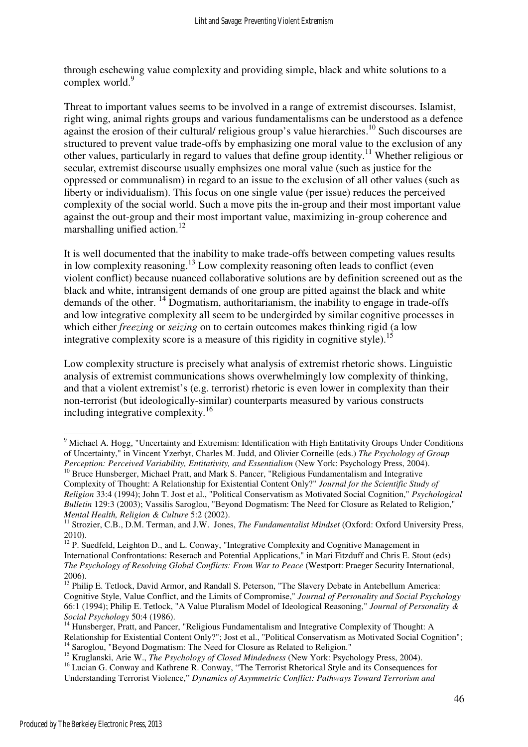through eschewing value complexity and providing simple, black and white solutions to a complex world.<sup>9</sup>

Threat to important values seems to be involved in a range of extremist discourses. Islamist, right wing, animal rights groups and various fundamentalisms can be understood as a defence against the erosion of their cultural/ religious group's value hierarchies.<sup>10</sup> Such discourses are structured to prevent value trade-offs by emphasizing one moral value to the exclusion of any other values, particularly in regard to values that define group identity.<sup>11</sup> Whether religious or secular, extremist discourse usually emphsizes one moral value (such as justice for the oppressed or communalism) in regard to an issue to the exclusion of all other values (such as liberty or individualism). This focus on one single value (per issue) reduces the perceived complexity of the social world. Such a move pits the in-group and their most important value against the out-group and their most important value, maximizing in-group coherence and marshalling unified action.<sup>12</sup>

It is well documented that the inability to make trade-offs between competing values results in low complexity reasoning.<sup>13</sup> Low complexity reasoning often leads to conflict (even violent conflict) because nuanced collaborative solutions are by definition screened out as the black and white, intransigent demands of one group are pitted against the black and white demands of the other.  $^{14}$  Dogmatism, authoritarianism, the inability to engage in trade-offs and low integrative complexity all seem to be undergirded by similar cognitive processes in which either *freezing* or *seizing* on to certain outcomes makes thinking rigid (a low integrative complexity score is a measure of this rigidity in cognitive style).<sup>15</sup>

Low complexity structure is precisely what analysis of extremist rhetoric shows. Linguistic analysis of extremist communications shows overwhelmingly low complexity of thinking, and that a violent extremist's (e.g. terrorist) rhetoric is even lower in complexity than their non-terrorist (but ideologically-similar) counterparts measured by various constructs including integrative complexity.<sup>16</sup>

<sup>&</sup>lt;sup>9</sup> Michael A. Hogg, "Uncertainty and Extremism: Identification with High Entitativity Groups Under Conditions of Uncertainty," in Vincent Yzerbyt, Charles M. Judd, and Olivier Corneille (eds.) *The Psychology of Group Perception: Perceived Variability, Entitativity, and Essentialism* (New York: Psychology Press, 2004).

<sup>&</sup>lt;sup>10</sup> Bruce Hunsberger, Michael Pratt, and Mark S. Pancer, "Religious Fundamentalism and Integrative Complexity of Thought: A Relationship for Existential Content Only?" *Journal for the Scientific Study of Religion* 33:4 (1994); John T. Jost et al., "Political Conservatism as Motivated Social Cognition," *Psychological Bulletin* 129:3 (2003); Vassilis Saroglou, "Beyond Dogmatism: The Need for Closure as Related to Religion," *Mental Health, Religion & Culture* 5:2 (2002).

<sup>&</sup>lt;sup>11</sup> Strozier, C.B., D.M. Terman, and J.W. Jones, *The Fundamentalist Mindset* (Oxford: Oxford University Press, 2010).

<sup>&</sup>lt;sup>12</sup> P. Suedfeld, Leighton D., and L. Conway, "Integrative Complexity and Cognitive Management in International Confrontations: Reserach and Potential Applications," in Mari Fitzduff and Chris E. Stout (eds) *The Psychology of Resolving Global Conflicts: From War to Peace* (Westport: Praeger Security International, 2006).

<sup>13</sup> Philip E. Tetlock, David Armor, and Randall S. Peterson, "The Slavery Debate in Antebellum America: Cognitive Style, Value Conflict, and the Limits of Compromise," *Journal of Personality and Social Psychology* 66:1 (1994); Philip E. Tetlock, "A Value Pluralism Model of Ideological Reasoning," *Journal of Personality & Social Psychology* 50:4 (1986).

<sup>&</sup>lt;sup>14</sup> Hunsberger, Pratt, and Pancer, "Religious Fundamentalism and Integrative Complexity of Thought: A Relationship for Existential Content Only?"; Jost et al., "Political Conservatism as Motivated Social Cognition"; <sup>14</sup> Saroglou, "Beyond Dogmatism: The Need for Closure as Related to Religion."

<sup>15</sup> Kruglanski, Arie W., *The Psychology of Closed Mindedness* (New York: Psychology Press, 2004).

<sup>&</sup>lt;sup>16</sup> Lucian G. Conway and Kathrene R. Conway, "The Terrorist Rhetorical Style and its Consequences for Understanding Terrorist Violence," *Dynamics of Asymmetric Conflict: Pathways Toward Terrorism and*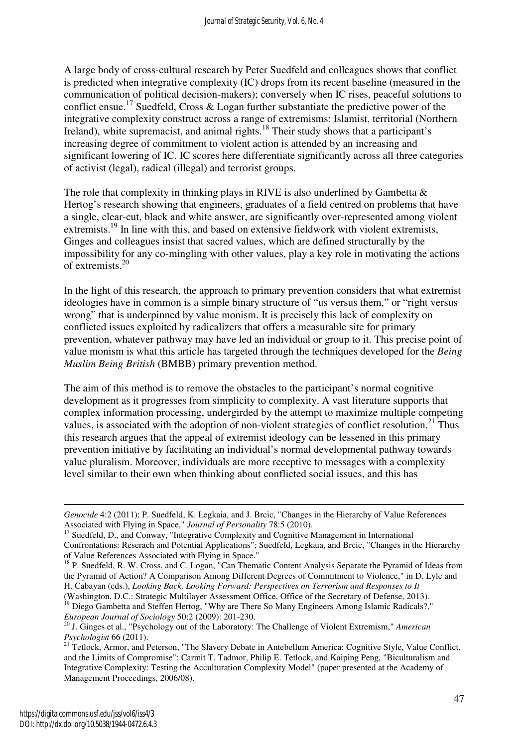A large body of cross-cultural research by Peter Suedfeld and colleagues shows that conflict is predicted when integrative complexity (IC) drops from its recent baseline (measured in the communication of political decision-makers); conversely when IC rises, peaceful solutions to conflict ensue.<sup>17</sup> Suedfeld, Cross & Logan further substantiate the predictive power of the integrative complexity construct across a range of extremisms: Islamist, territorial (Northern Ireland), white supremacist, and animal rights.<sup>18</sup> Their study shows that a participant's increasing degree of commitment to violent action is attended by an increasing and significant lowering of IC. IC scores here differentiate significantly across all three categories of activist (legal), radical (illegal) and terrorist groups.

The role that complexity in thinking plays in RIVE is also underlined by Gambetta  $\&$ Hertog's research showing that engineers, graduates of a field centred on problems that have a single, clear-cut, black and white answer, are significantly over-represented among violent extremists.<sup>19</sup> In line with this, and based on extensive fieldwork with violent extremists, Ginges and colleagues insist that sacred values, which are defined structurally by the impossibility for any co-mingling with other values, play a key role in motivating the actions of extremists.<sup>20</sup>

In the light of this research, the approach to primary prevention considers that what extremist ideologies have in common is a simple binary structure of "us versus them," or "right versus wrong" that is underpinned by value monism. It is precisely this lack of complexity on conflicted issues exploited by radicalizers that offers a measurable site for primary prevention, whatever pathway may have led an individual or group to it. This precise point of value monism is what this article has targeted through the techniques developed for the *Being Muslim Being British* (BMBB) primary prevention method.

The aim of this method is to remove the obstacles to the participant's normal cognitive development as it progresses from simplicity to complexity. A vast literature supports that complex information processing, undergirded by the attempt to maximize multiple competing values, is associated with the adoption of non-violent strategies of conflict resolution.<sup>21</sup> Thus this research argues that the appeal of extremist ideology can be lessened in this primary prevention initiative by facilitating an individual's normal developmental pathway towards value pluralism. Moreover, individuals are more receptive to messages with a complexity level similar to their own when thinking about conflicted social issues, and this has

(Washington, D.C.: Strategic Multilayer Assessment Office, Office of the Secretary of Defense, 2013). <sup>19</sup> Diego Gambetta and Steffen Hertog, "Why are There So Many Engineers Among Islamic Radicals?," *European Journal of Sociology* 50:2 (2009): 201-230.

*Genocide* 4:2 (2011); P. Suedfeld, K. Legkaia, and J. Brcic, "Changes in the Hierarchy of Value References Associated with Flying in Space," *Journal of Personality* 78:5 (2010).

<sup>&</sup>lt;sup>17</sup> Suedfeld, D., and Conway, "Integrative Complexity and Cognitive Management in International Confrontations: Reserach and Potential Applications"; Suedfeld, Legkaia, and Brcic, "Changes in the Hierarchy of Value References Associated with Flying in Space."

<sup>&</sup>lt;sup>18</sup> P. Suedfeld, R. W. Cross, and C. Logan, "Can Thematic Content Analysis Separate the Pyramid of Ideas from the Pyramid of Action? A Comparison Among Different Degrees of Commitment to Violence," in D. Lyle and H. Cabayan (eds.), *Looking Back, Looking Forward: Perspectives on Terrorism and Responses to It*

<sup>20</sup> J. Ginges et al., "Psychology out of the Laboratory: The Challenge of Violent Extremism," *American Psychologist* 66 (2011).

<sup>&</sup>lt;sup>21</sup> Tetlock, Armor, and Peterson, "The Slavery Debate in Antebellum America: Cognitive Style, Value Conflict, and the Limits of Compromise"; Carmit T. Tadmor, Philip E. Tetlock, and Kaiping Peng, "Biculturalism and Integrative Complexity: Testing the Acculturation Complexity Model" (paper presented at the Academy of Management Proceedings, 2006/08).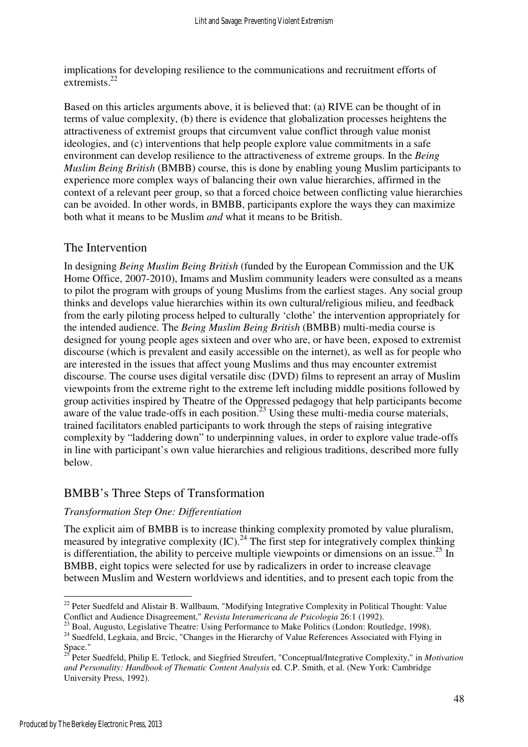implications for developing resilience to the communications and recruitment efforts of extremists.<sup>22</sup>

Based on this articles arguments above, it is believed that: (a) RIVE can be thought of in terms of value complexity, (b) there is evidence that globalization processes heightens the attractiveness of extremist groups that circumvent value conflict through value monist ideologies, and (c) interventions that help people explore value commitments in a safe environment can develop resilience to the attractiveness of extreme groups. In the *Being Muslim Being British* (BMBB) course, this is done by enabling young Muslim participants to experience more complex ways of balancing their own value hierarchies, affirmed in the context of a relevant peer group, so that a forced choice between conflicting value hierarchies can be avoided. In other words, in BMBB, participants explore the ways they can maximize both what it means to be Muslim *and* what it means to be British.

#### The Intervention

In designing *Being Muslim Being British* (funded by the European Commission and the UK Home Office, 2007-2010), Imams and Muslim community leaders were consulted as a means to pilot the program with groups of young Muslims from the earliest stages. Any social group thinks and develops value hierarchies within its own cultural/religious milieu, and feedback from the early piloting process helped to culturally 'clothe' the intervention appropriately for the intended audience. The *Being Muslim Being British* (BMBB) multi-media course is designed for young people ages sixteen and over who are, or have been, exposed to extremist discourse (which is prevalent and easily accessible on the internet), as well as for people who are interested in the issues that affect young Muslims and thus may encounter extremist discourse. The course uses digital versatile disc (DVD) films to represent an array of Muslim viewpoints from the extreme right to the extreme left including middle positions followed by group activities inspired by Theatre of the Oppressed pedagogy that help participants become aware of the value trade-offs in each position.<sup>23</sup> Using these multi-media course materials, trained facilitators enabled participants to work through the steps of raising integrative complexity by "laddering down" to underpinning values, in order to explore value trade-offs in line with participant's own value hierarchies and religious traditions, described more fully below.

# BMBB's Three Steps of Transformation

#### *Transformation Step One: Differentiation*

The explicit aim of BMBB is to increase thinking complexity promoted by value pluralism, measured by integrative complexity  ${\rm (IC)}$ .<sup>24</sup> The first step for integratively complex thinking is differentiation, the ability to perceive multiple viewpoints or dimensions on an issue.<sup>25</sup> In BMBB, eight topics were selected for use by radicalizers in order to increase cleavage between Muslim and Western worldviews and identities, and to present each topic from the

 $\overline{a}$  $22$  Peter Suedfeld and Alistair B. Wallbaum, "Modifying Integrative Complexity in Political Thought: Value Conflict and Audience Disagreement," *Revista Interamericana de Psicologia* 26:1 (1992).

<sup>&</sup>lt;sup>23</sup> Boal, Augusto, Legislative Theatre: Using Performance to Make Politics (London: Routledge, 1998).

<sup>&</sup>lt;sup>24</sup> Suedfeld, Legkaia, and Brcic, "Changes in the Hierarchy of Value References Associated with Flying in  $Space.  
space."$ 

<sup>25</sup> Peter Suedfeld, Philip E. Tetlock, and Siegfried Streufert, "Conceptual/Integrative Complexity," in *Motivation and Personality: Handbook of Thematic Content Analysis* ed. C.P. Smith, et al. (New York: Cambridge University Press, 1992).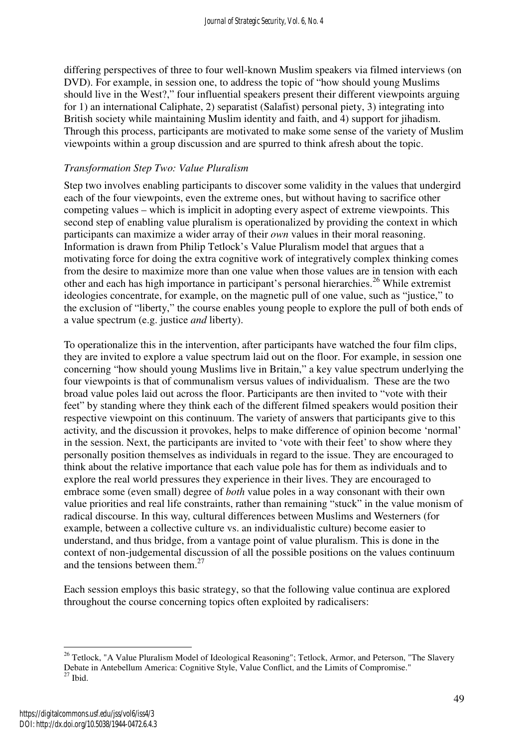differing perspectives of three to four well-known Muslim speakers via filmed interviews (on DVD). For example, in session one, to address the topic of "how should young Muslims should live in the West?," four influential speakers present their different viewpoints arguing for 1) an international Caliphate, 2) separatist (Salafist) personal piety, 3) integrating into British society while maintaining Muslim identity and faith, and 4) support for jihadism. Through this process, participants are motivated to make some sense of the variety of Muslim viewpoints within a group discussion and are spurred to think afresh about the topic.

#### *Transformation Step Two: Value Pluralism*

Step two involves enabling participants to discover some validity in the values that undergird each of the four viewpoints, even the extreme ones, but without having to sacrifice other competing values – which is implicit in adopting every aspect of extreme viewpoints. This second step of enabling value pluralism is operationalized by providing the context in which participants can maximize a wider array of their *own* values in their moral reasoning. Information is drawn from Philip Tetlock's Value Pluralism model that argues that a motivating force for doing the extra cognitive work of integratively complex thinking comes from the desire to maximize more than one value when those values are in tension with each other and each has high importance in participant's personal hierarchies.<sup>26</sup> While extremist ideologies concentrate, for example, on the magnetic pull of one value, such as "justice," to the exclusion of "liberty," the course enables young people to explore the pull of both ends of a value spectrum (e.g. justice *and* liberty).

To operationalize this in the intervention, after participants have watched the four film clips, they are invited to explore a value spectrum laid out on the floor. For example, in session one concerning "how should young Muslims live in Britain," a key value spectrum underlying the four viewpoints is that of communalism versus values of individualism. These are the two broad value poles laid out across the floor. Participants are then invited to "vote with their feet" by standing where they think each of the different filmed speakers would position their respective viewpoint on this continuum. The variety of answers that participants give to this activity, and the discussion it provokes, helps to make difference of opinion become 'normal' in the session. Next, the participants are invited to 'vote with their feet' to show where they personally position themselves as individuals in regard to the issue. They are encouraged to think about the relative importance that each value pole has for them as individuals and to explore the real world pressures they experience in their lives. They are encouraged to embrace some (even small) degree of *both* value poles in a way consonant with their own value priorities and real life constraints, rather than remaining "stuck" in the value monism of radical discourse. In this way, cultural differences between Muslims and Westerners (for example, between a collective culture vs. an individualistic culture) become easier to understand, and thus bridge, from a vantage point of value pluralism. This is done in the context of non-judgemental discussion of all the possible positions on the values continuum and the tensions between them. $27$ 

Each session employs this basic strategy, so that the following value continua are explored throughout the course concerning topics often exploited by radicalisers:

<sup>&</sup>lt;sup>26</sup> Tetlock, "A Value Pluralism Model of Ideological Reasoning"; Tetlock, Armor, and Peterson, "The Slavery Debate in Antebellum America: Cognitive Style, Value Conflict, and the Limits of Compromise."  $^{27}$  Ibid.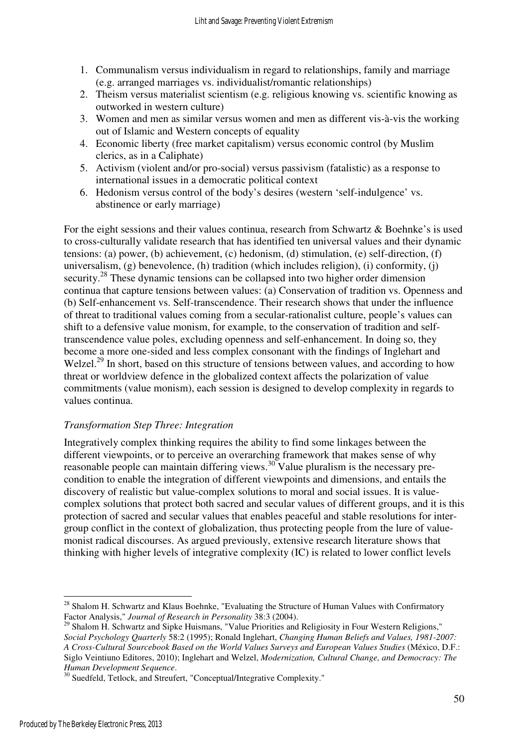- 1. Communalism versus individualism in regard to relationships, family and marriage (e.g. arranged marriages vs. individualist/romantic relationships)
- 2. Theism versus materialist scientism (e.g. religious knowing vs. scientific knowing as outworked in western culture)
- 3. Women and men as similar versus women and men as different vis-à-vis the working out of Islamic and Western concepts of equality
- 4. Economic liberty (free market capitalism) versus economic control (by Muslim clerics, as in a Caliphate)
- 5. Activism (violent and/or pro-social) versus passivism (fatalistic) as a response to international issues in a democratic political context
- 6. Hedonism versus control of the body's desires (western 'self-indulgence' vs. abstinence or early marriage)

For the eight sessions and their values continua, research from Schwartz & Boehnke's is used to cross-culturally validate research that has identified ten universal values and their dynamic tensions: (a) power, (b) achievement, (c) hedonism, (d) stimulation, (e) self-direction, (f) universalism,  $(g)$  benevolence,  $(h)$  tradition (which includes religion),  $(i)$  conformity,  $(i)$ security.<sup>28</sup> These dynamic tensions can be collapsed into two higher order dimension continua that capture tensions between values: (a) Conservation of tradition vs. Openness and (b) Self-enhancement vs. Self-transcendence. Their research shows that under the influence of threat to traditional values coming from a secular-rationalist culture, people's values can shift to a defensive value monism, for example, to the conservation of tradition and selftranscendence value poles, excluding openness and self-enhancement. In doing so, they become a more one-sided and less complex consonant with the findings of Inglehart and Welzel.<sup>29</sup> In short, based on this structure of tensions between values, and according to how threat or worldview defence in the globalized context affects the polarization of value commitments (value monism), each session is designed to develop complexity in regards to values continua.

#### *Transformation Step Three: Integration*

Integratively complex thinking requires the ability to find some linkages between the different viewpoints, or to perceive an overarching framework that makes sense of why reasonable people can maintain differing views.<sup>30</sup> Value pluralism is the necessary precondition to enable the integration of different viewpoints and dimensions, and entails the discovery of realistic but value-complex solutions to moral and social issues. It is valuecomplex solutions that protect both sacred and secular values of different groups, and it is this protection of sacred and secular values that enables peaceful and stable resolutions for intergroup conflict in the context of globalization, thus protecting people from the lure of valuemonist radical discourses. As argued previously, extensive research literature shows that thinking with higher levels of integrative complexity (IC) is related to lower conflict levels

 $\overline{a}$ <sup>28</sup> Shalom H. Schwartz and Klaus Boehnke, "Evaluating the Structure of Human Values with Confirmatory Factor Analysis," *Journal of Research in Personality* 38:3 (2004).

<sup>&</sup>lt;sup>29</sup> Shalom H. Schwartz and Sipke Huismans, "Value Priorities and Religiosity in Four Western Religions," *Social Psychology Quarterly* 58:2 (1995); Ronald Inglehart, *Changing Human Beliefs and Values, 1981-2007: A Cross-Cultural Sourcebook Based on the World Values Surveys and European Values Studies* (México, D.F.: Siglo Veintiuno Editores, 2010); Inglehart and Welzel, *Modernization, Cultural Change, and Democracy: The Human Development Sequence*.

<sup>&</sup>lt;sup>30</sup> Suedfeld, Tetlock, and Streufert, "Conceptual/Integrative Complexity."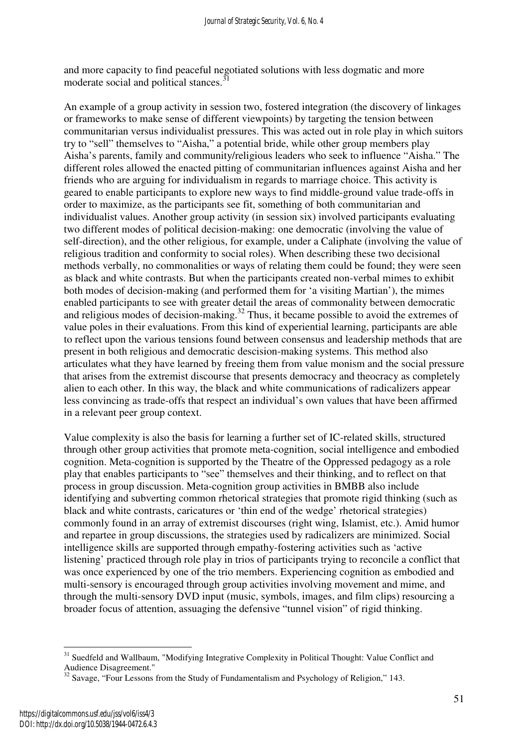and more capacity to find peaceful negotiated solutions with less dogmatic and more moderate social and political stances.<sup>3</sup>

An example of a group activity in session two, fostered integration (the discovery of linkages or frameworks to make sense of different viewpoints) by targeting the tension between communitarian versus individualist pressures. This was acted out in role play in which suitors try to "sell" themselves to "Aisha," a potential bride, while other group members play Aisha's parents, family and community/religious leaders who seek to influence "Aisha." The different roles allowed the enacted pitting of communitarian influences against Aisha and her friends who are arguing for individualism in regards to marriage choice. This activity is geared to enable participants to explore new ways to find middle-ground value trade-offs in order to maximize, as the participants see fit, something of both communitarian and individualist values. Another group activity (in session six) involved participants evaluating two different modes of political decision-making: one democratic (involving the value of self-direction), and the other religious, for example, under a Caliphate (involving the value of religious tradition and conformity to social roles). When describing these two decisional methods verbally, no commonalities or ways of relating them could be found; they were seen as black and white contrasts. But when the participants created non-verbal mimes to exhibit both modes of decision-making (and performed them for 'a visiting Martian'), the mimes enabled participants to see with greater detail the areas of commonality between democratic and religious modes of decision-making. $32$  Thus, it became possible to avoid the extremes of value poles in their evaluations. From this kind of experiential learning, participants are able to reflect upon the various tensions found between consensus and leadership methods that are present in both religious and democratic descision-making systems. This method also articulates what they have learned by freeing them from value monism and the social pressure that arises from the extremist discourse that presents democracy and theocracy as completely alien to each other. In this way, the black and white communications of radicalizers appear less convincing as trade-offs that respect an individual's own values that have been affirmed in a relevant peer group context.

Value complexity is also the basis for learning a further set of IC-related skills, structured through other group activities that promote meta-cognition, social intelligence and embodied cognition. Meta-cognition is supported by the Theatre of the Oppressed pedagogy as a role play that enables participants to "see" themselves and their thinking, and to reflect on that process in group discussion. Meta-cognition group activities in BMBB also include identifying and subverting common rhetorical strategies that promote rigid thinking (such as black and white contrasts, caricatures or 'thin end of the wedge' rhetorical strategies) commonly found in an array of extremist discourses (right wing, Islamist, etc.). Amid humor and repartee in group discussions, the strategies used by radicalizers are minimized. Social intelligence skills are supported through empathy-fostering activities such as 'active listening' practiced through role play in trios of participants trying to reconcile a conflict that was once experienced by one of the trio members. Experiencing cognition as embodied and multi-sensory is encouraged through group activities involving movement and mime, and through the multi-sensory DVD input (music, symbols, images, and film clips) resourcing a broader focus of attention, assuaging the defensive "tunnel vision" of rigid thinking.

<sup>&</sup>lt;sup>31</sup> Suedfeld and Wallbaum, "Modifying Integrative Complexity in Political Thought: Value Conflict and Audience Disagreement."

<sup>&</sup>lt;sup>32</sup> Savage, "Four Lessons from the Study of Fundamentalism and Psychology of Religion," 143.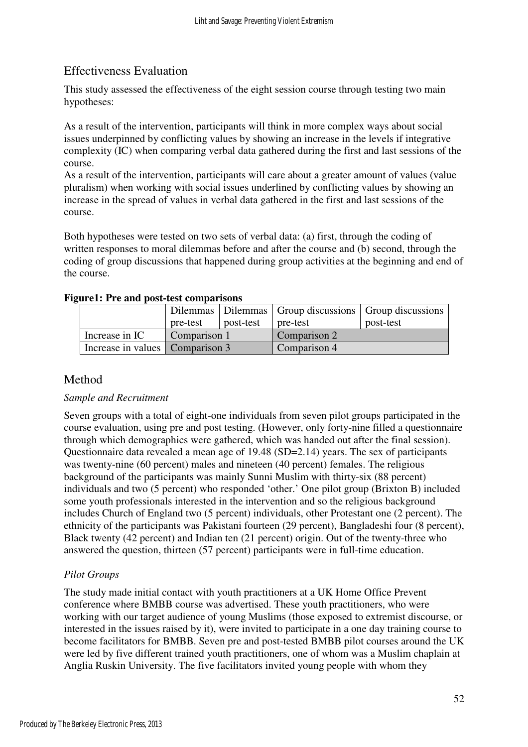# Effectiveness Evaluation

This study assessed the effectiveness of the eight session course through testing two main hypotheses:

As a result of the intervention, participants will think in more complex ways about social issues underpinned by conflicting values by showing an increase in the levels if integrative complexity (IC) when comparing verbal data gathered during the first and last sessions of the course.

As a result of the intervention, participants will care about a greater amount of values (value pluralism) when working with social issues underlined by conflicting values by showing an increase in the spread of values in verbal data gathered in the first and last sessions of the course.

Both hypotheses were tested on two sets of verbal data: (a) first, through the coding of written responses to moral dilemmas before and after the course and (b) second, through the coding of group discussions that happened during group activities at the beginning and end of the course.

|                                 |              |           | Dilemmas   Dilemmas   Group discussions   Group discussions |           |  |  |  |  |  |  |  |
|---------------------------------|--------------|-----------|-------------------------------------------------------------|-----------|--|--|--|--|--|--|--|
|                                 | pre-test     | post-test | pre-test                                                    | post-test |  |  |  |  |  |  |  |
| Increase in IC                  | Comparison 1 |           | Comparison 2                                                |           |  |  |  |  |  |  |  |
| Increase in values Comparison 3 |              |           | Comparison 4                                                |           |  |  |  |  |  |  |  |

#### **Figure1: Pre and post-test comparisons**

# Method

#### *Sample and Recruitment*

Seven groups with a total of eight-one individuals from seven pilot groups participated in the course evaluation, using pre and post testing. (However, only forty-nine filled a questionnaire through which demographics were gathered, which was handed out after the final session). Questionnaire data revealed a mean age of 19.48 (SD=2.14) years. The sex of participants was twenty-nine (60 percent) males and nineteen (40 percent) females. The religious background of the participants was mainly Sunni Muslim with thirty-six (88 percent) individuals and two (5 percent) who responded 'other.' One pilot group (Brixton B) included some youth professionals interested in the intervention and so the religious background includes Church of England two (5 percent) individuals, other Protestant one (2 percent). The ethnicity of the participants was Pakistani fourteen (29 percent), Bangladeshi four (8 percent), Black twenty (42 percent) and Indian ten (21 percent) origin. Out of the twenty-three who answered the question, thirteen (57 percent) participants were in full-time education.

# *Pilot Groups*

The study made initial contact with youth practitioners at a UK Home Office Prevent conference where BMBB course was advertised. These youth practitioners, who were working with our target audience of young Muslims (those exposed to extremist discourse, or interested in the issues raised by it), were invited to participate in a one day training course to become facilitators for BMBB. Seven pre and post-tested BMBB pilot courses around the UK were led by five different trained youth practitioners, one of whom was a Muslim chaplain at Anglia Ruskin University. The five facilitators invited young people with whom they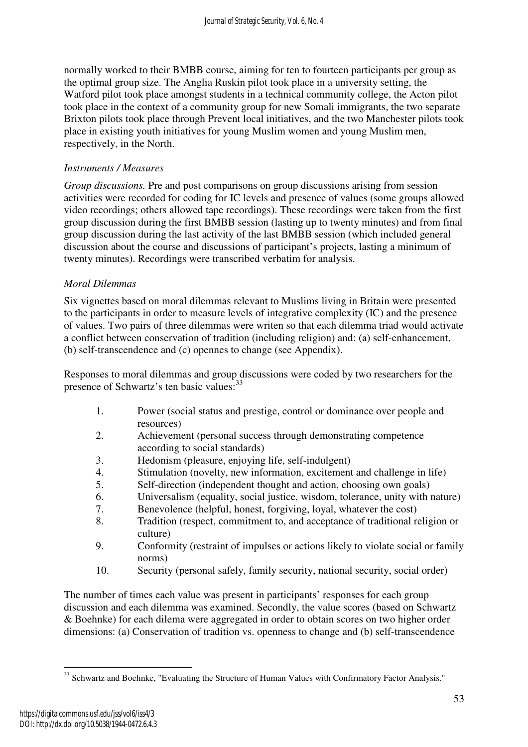normally worked to their BMBB course, aiming for ten to fourteen participants per group as the optimal group size. The Anglia Ruskin pilot took place in a university setting, the Watford pilot took place amongst students in a technical community college, the Acton pilot took place in the context of a community group for new Somali immigrants, the two separate Brixton pilots took place through Prevent local initiatives, and the two Manchester pilots took place in existing youth initiatives for young Muslim women and young Muslim men, respectively, in the North.

#### *Instruments / Measures*

*Group discussions.* Pre and post comparisons on group discussions arising from session activities were recorded for coding for IC levels and presence of values (some groups allowed video recordings; others allowed tape recordings). These recordings were taken from the first group discussion during the first BMBB session (lasting up to twenty minutes) and from final group discussion during the last activity of the last BMBB session (which included general discussion about the course and discussions of participant's projects, lasting a minimum of twenty minutes). Recordings were transcribed verbatim for analysis.

### *Moral Dilemmas*

Six vignettes based on moral dilemmas relevant to Muslims living in Britain were presented to the participants in order to measure levels of integrative complexity (IC) and the presence of values. Two pairs of three dilemmas were writen so that each dilemma triad would activate a conflict between conservation of tradition (including religion) and: (a) self-enhancement, (b) self-transcendence and (c) opennes to change (see Appendix).

Responses to moral dilemmas and group discussions were coded by two researchers for the presence of Schwartz's ten basic values:<sup>33</sup>

- 1. Power (social status and prestige, control or dominance over people and resources)
- 2. Achievement (personal success through demonstrating competence according to social standards)
- 3. Hedonism (pleasure, enjoying life, self-indulgent)
- 4. Stimulation (novelty, new information, excitement and challenge in life)
- 5. Self-direction (independent thought and action, choosing own goals)
- 6. Universalism (equality, social justice, wisdom, tolerance, unity with nature)
- 7. Benevolence (helpful, honest, forgiving, loyal, whatever the cost)
- 8. Tradition (respect, commitment to, and acceptance of traditional religion or culture)
- 9. Conformity (restraint of impulses or actions likely to violate social or family norms)
- 10. Security (personal safely, family security, national security, social order)

The number of times each value was present in participants' responses for each group discussion and each dilemma was examined. Secondly, the value scores (based on Schwartz & Boehnke) for each dilema were aggregated in order to obtain scores on two higher order dimensions: (a) Conservation of tradition vs. openness to change and (b) self-transcendence

 $\overline{a}$ <sup>33</sup> Schwartz and Boehnke, "Evaluating the Structure of Human Values with Confirmatory Factor Analysis."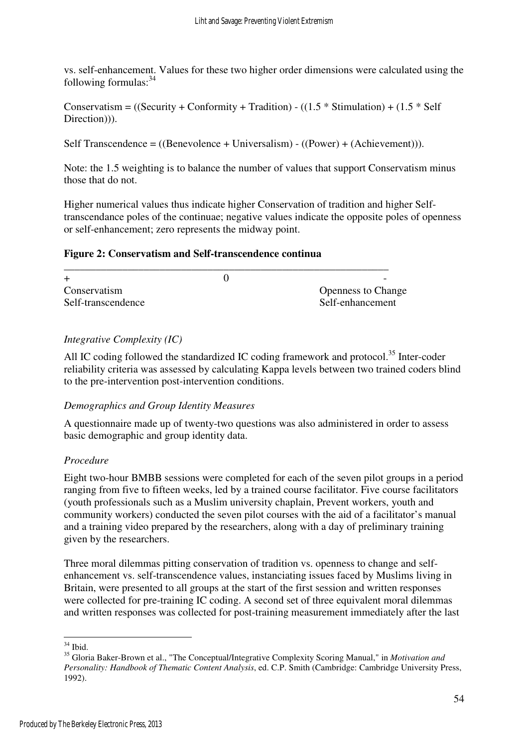vs. self-enhancement. Values for these two higher order dimensions were calculated using the following formulas:<sup>34</sup>

Conservatism =  $((Security + Conformity + Tradition) - ((1.5 * Stimulation) + (1.5 * Self$ Direction)).

Self Transcendence = ((Benevolence + Universalism) - ((Power) + (Achievement))).

Note: the 1.5 weighting is to balance the number of values that support Conservatism minus those that do not.

Higher numerical values thus indicate higher Conservation of tradition and higher Selftranscendance poles of the continuae; negative values indicate the opposite poles of openness or self-enhancement; zero represents the midway point.

#### **Figure 2: Conservatism and Self-transcendence continua**

|                    | $\overline{\phantom{0}}$  |
|--------------------|---------------------------|
| Conservatism       | <b>Openness to Change</b> |
| Self-transcendence | Self-enhancement          |
|                    |                           |

#### *Integrative Complexity (IC)*

All IC coding followed the standardized IC coding framework and protocol.<sup>35</sup> Inter-coder reliability criteria was assessed by calculating Kappa levels between two trained coders blind to the pre-intervention post-intervention conditions.

#### *Demographics and Group Identity Measures*

A questionnaire made up of twenty-two questions was also administered in order to assess basic demographic and group identity data.

#### *Procedure*

Eight two-hour BMBB sessions were completed for each of the seven pilot groups in a period ranging from five to fifteen weeks, led by a trained course facilitator. Five course facilitators (youth professionals such as a Muslim university chaplain, Prevent workers, youth and community workers) conducted the seven pilot courses with the aid of a facilitator's manual and a training video prepared by the researchers, along with a day of preliminary training given by the researchers.

Three moral dilemmas pitting conservation of tradition vs. openness to change and selfenhancement vs. self-transcendence values, instanciating issues faced by Muslims living in Britain, were presented to all groups at the start of the first session and written responses were collected for pre-training IC coding. A second set of three equivalent moral dilemmas and written responses was collected for post-training measurement immediately after the last

 $\overline{a}$  $34$  Ibid.

<sup>35</sup> Gloria Baker-Brown et al., "The Conceptual/Integrative Complexity Scoring Manual," in *Motivation and Personality: Handbook of Thematic Content Analysis*, ed. C.P. Smith (Cambridge: Cambridge University Press, 1992).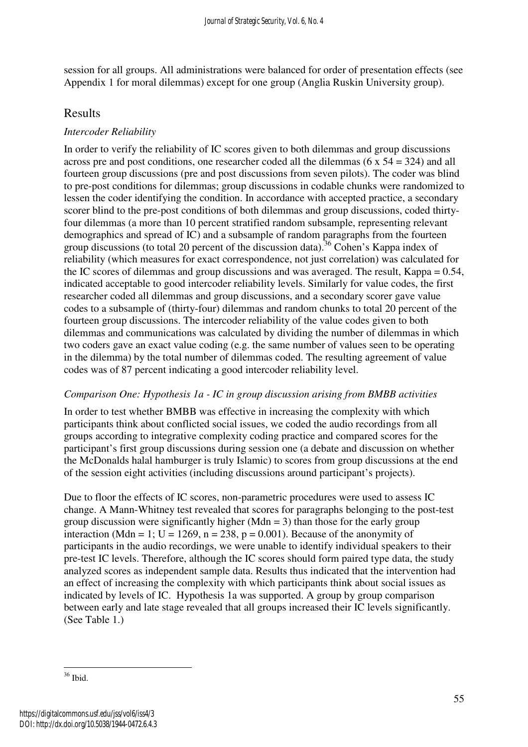session for all groups. All administrations were balanced for order of presentation effects (see Appendix 1 for moral dilemmas) except for one group (Anglia Ruskin University group).

# Results

### *Intercoder Reliability*

In order to verify the reliability of IC scores given to both dilemmas and group discussions across pre and post conditions, one researcher coded all the dilemmas (6  $x$  54 = 324) and all fourteen group discussions (pre and post discussions from seven pilots). The coder was blind to pre-post conditions for dilemmas; group discussions in codable chunks were randomized to lessen the coder identifying the condition. In accordance with accepted practice, a secondary scorer blind to the pre-post conditions of both dilemmas and group discussions, coded thirtyfour dilemmas (a more than 10 percent stratified random subsample, representing relevant demographics and spread of IC) and a subsample of random paragraphs from the fourteen group discussions (to total 20 percent of the discussion data).<sup>36</sup> Cohen's Kappa index of reliability (which measures for exact correspondence, not just correlation) was calculated for the IC scores of dilemmas and group discussions and was averaged. The result, Kappa = 0.54, indicated acceptable to good intercoder reliability levels. Similarly for value codes, the first researcher coded all dilemmas and group discussions, and a secondary scorer gave value codes to a subsample of (thirty-four) dilemmas and random chunks to total 20 percent of the fourteen group discussions. The intercoder reliability of the value codes given to both dilemmas and communications was calculated by dividing the number of dilemmas in which two coders gave an exact value coding (e.g. the same number of values seen to be operating in the dilemma) by the total number of dilemmas coded. The resulting agreement of value codes was of 87 percent indicating a good intercoder reliability level.

#### *Comparison One: Hypothesis 1a - IC in group discussion arising from BMBB activities*

In order to test whether BMBB was effective in increasing the complexity with which participants think about conflicted social issues, we coded the audio recordings from all groups according to integrative complexity coding practice and compared scores for the participant's first group discussions during session one (a debate and discussion on whether the McDonalds halal hamburger is truly Islamic) to scores from group discussions at the end of the session eight activities (including discussions around participant's projects).

Due to floor the effects of IC scores, non-parametric procedures were used to assess IC change. A Mann-Whitney test revealed that scores for paragraphs belonging to the post-test group discussion were significantly higher (Mdn = 3) than those for the early group interaction (Mdn = 1; U = 1269, n = 238, p = 0.001). Because of the anonymity of participants in the audio recordings, we were unable to identify individual speakers to their pre-test IC levels. Therefore, although the IC scores should form paired type data, the study analyzed scores as independent sample data. Results thus indicated that the intervention had an effect of increasing the complexity with which participants think about social issues as indicated by levels of IC. Hypothesis 1a was supported. A group by group comparison between early and late stage revealed that all groups increased their IC levels significantly. (See Table 1.)

 $\overline{a}$ <sup>36</sup> Ibid.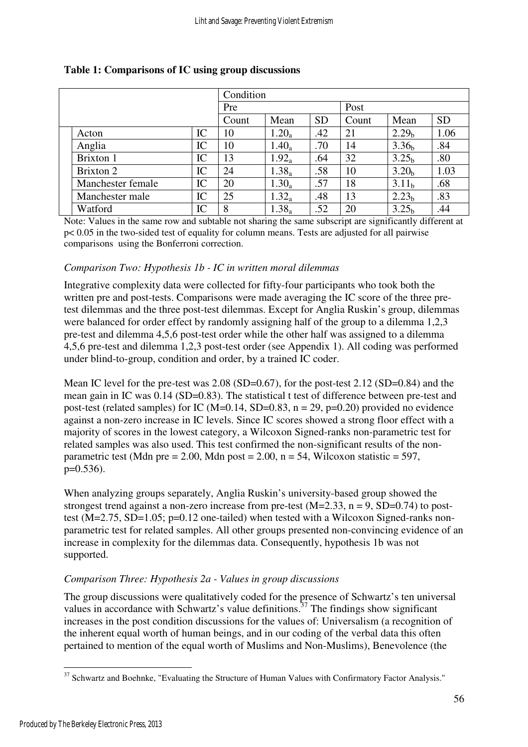|                   | Condition |       |          |           |       |                   |           |  |  |
|-------------------|-----------|-------|----------|-----------|-------|-------------------|-----------|--|--|
|                   | Pre       |       |          | Post      |       |                   |           |  |  |
|                   |           | Count | Mean     | <b>SD</b> | Count | Mean              | <b>SD</b> |  |  |
| Acton             | IC        | 10    | $1.20_a$ | .42       | 21    | 2.29 <sub>h</sub> | 1.06      |  |  |
| Anglia            | IC        | 10    | $1.40_a$ | .70       | 14    | 3.36 <sub>h</sub> | .84       |  |  |
| Brixton 1         | IC        | 13    | $1.92_a$ | .64       | 32    | 3.25 <sub>b</sub> | .80       |  |  |
| Brixton 2         | IC        | 24    | $1.38_a$ | .58       | 10    | 3.20 <sub>h</sub> | 1.03      |  |  |
| Manchester female | IC        | 20    | $1.30_a$ | .57       | 18    | 3.11 <sub>b</sub> | .68       |  |  |
| Manchester male   | IC        | 25    | $1.32_a$ | .48       | 13    | 2.23 <sub>b</sub> | .83       |  |  |
| Watford           | IC        | 8     | $1.38_a$ | .52       | 20    | 3.25 <sub>h</sub> | .44       |  |  |

#### **Table 1: Comparisons of IC using group discussions**

Note: Values in the same row and subtable not sharing the same subscript are significantly different at p< 0.05 in the two-sided test of equality for column means. Tests are adjusted for all pairwise comparisons using the Bonferroni correction.

#### *Comparison Two: Hypothesis 1b - IC in written moral dilemmas*

Integrative complexity data were collected for fifty-four participants who took both the written pre and post-tests. Comparisons were made averaging the IC score of the three pretest dilemmas and the three post-test dilemmas. Except for Anglia Ruskin's group, dilemmas were balanced for order effect by randomly assigning half of the group to a dilemma 1,2,3 pre-test and dilemma 4,5,6 post-test order while the other half was assigned to a dilemma 4,5,6 pre-test and dilemma 1,2,3 post-test order (see Appendix 1). All coding was performed under blind-to-group, condition and order, by a trained IC coder.

Mean IC level for the pre-test was 2.08 (SD=0.67), for the post-test 2.12 (SD=0.84) and the mean gain in IC was 0.14 (SD=0.83). The statistical t test of difference between pre-test and post-test (related samples) for IC (M=0.14, SD=0.83,  $n = 29$ ,  $p=0.20$ ) provided no evidence against a non-zero increase in IC levels. Since IC scores showed a strong floor effect with a majority of scores in the lowest category, a Wilcoxon Signed-ranks non-parametric test for related samples was also used. This test confirmed the non-significant results of the nonparametric test (Mdn pre = 2.00, Mdn post = 2.00,  $n = 54$ , Wilcoxon statistic = 597, p=0.536).

When analyzing groups separately, Anglia Ruskin's university-based group showed the strongest trend against a non-zero increase from pre-test  $(M=2.33, n = 9, SD=0.74)$  to posttest  $(M=2.75, SD=1.05; p=0.12$  one-tailed) when tested with a Wilcoxon Signed-ranks nonparametric test for related samples. All other groups presented non-convincing evidence of an increase in complexity for the dilemmas data. Consequently, hypothesis 1b was not supported.

#### *Comparison Three: Hypothesis 2a - Values in group discussions*

The group discussions were qualitatively coded for the presence of Schwartz's ten universal values in accordance with Schwartz's value definitions.<sup>37</sup> The findings show significant increases in the post condition discussions for the values of: Universalism (a recognition of the inherent equal worth of human beings, and in our coding of the verbal data this often pertained to mention of the equal worth of Muslims and Non-Muslims), Benevolence (the

 $\overline{a}$  $37$  Schwartz and Boehnke, "Evaluating the Structure of Human Values with Confirmatory Factor Analysis."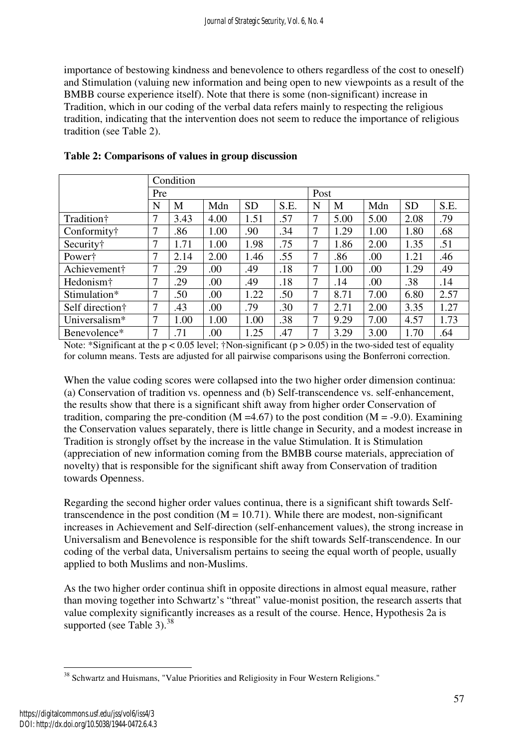importance of bestowing kindness and benevolence to others regardless of the cost to oneself) and Stimulation (valuing new information and being open to new viewpoints as a result of the BMBB course experience itself). Note that there is some (non-significant) increase in Tradition, which in our coding of the verbal data refers mainly to respecting the religious tradition, indicating that the intervention does not seem to reduce the importance of religious tradition (see Table 2).

|                       |     | Condition |      |           |      |   |      |      |           |      |  |  |
|-----------------------|-----|-----------|------|-----------|------|---|------|------|-----------|------|--|--|
|                       | Pre |           |      |           |      |   | Post |      |           |      |  |  |
|                       | N   | M         | Mdn  | <b>SD</b> | S.E. | N | M    | Mdn  | <b>SD</b> | S.E. |  |  |
| Tradition†            | 7   | 3.43      | 4.00 | 1.51      | .57  | 7 | 5.00 | 5.00 | 2.08      | .79  |  |  |
| Conformity†           | 7   | .86       | 1.00 | .90       | .34  | 7 | 1.29 | 1.00 | 1.80      | .68  |  |  |
| Security†             | 7   | 1.71      | 1.00 | 1.98      | .75  | 7 | 1.86 | 2.00 | 1.35      | .51  |  |  |
| Power†                | 7   | 2.14      | 2.00 | 1.46      | .55  | 7 | .86  | .00  | 1.21      | .46  |  |  |
| Achievement†          | 7   | .29       | .00  | .49       | .18  | 7 | 1.00 | .00  | 1.29      | .49  |  |  |
| Hedonism <sup>†</sup> | 7   | .29       | .00  | .49       | .18  | 7 | .14  | .00  | .38       | .14  |  |  |
| Stimulation*          | 7   | .50       | .00  | 1.22      | .50  | 7 | 8.71 | 7.00 | 6.80      | 2.57 |  |  |
| Self direction†       | 7   | .43       | .00  | .79       | .30  | 7 | 2.71 | 2.00 | 3.35      | 1.27 |  |  |
| Universalism*         | 7   | 1.00      | 1.00 | 1.00      | .38  | 7 | 9.29 | 7.00 | 4.57      | 1.73 |  |  |
| Benevolence*          | 7   | .71       | .00  | 1.25      | .47  | 7 | 3.29 | 3.00 | 1.70      | .64  |  |  |

**Table 2: Comparisons of values in group discussion** 

Note: \*Significant at the  $p < 0.05$  level; †Non-significant ( $p > 0.05$ ) in the two-sided test of equality for column means. Tests are adjusted for all pairwise comparisons using the Bonferroni correction.

When the value coding scores were collapsed into the two higher order dimension continua: (a) Conservation of tradition vs. openness and (b) Self-transcendence vs. self-enhancement, the results show that there is a significant shift away from higher order Conservation of tradition, comparing the pre-condition ( $M = 4.67$ ) to the post condition ( $M = -9.0$ ). Examining the Conservation values separately, there is little change in Security, and a modest increase in Tradition is strongly offset by the increase in the value Stimulation. It is Stimulation (appreciation of new information coming from the BMBB course materials, appreciation of novelty) that is responsible for the significant shift away from Conservation of tradition towards Openness.

Regarding the second higher order values continua, there is a significant shift towards Selftranscendence in the post condition  $(M = 10.71)$ . While there are modest, non-significant increases in Achievement and Self-direction (self-enhancement values), the strong increase in Universalism and Benevolence is responsible for the shift towards Self-transcendence. In our coding of the verbal data, Universalism pertains to seeing the equal worth of people, usually applied to both Muslims and non-Muslims.

As the two higher order continua shift in opposite directions in almost equal measure, rather than moving together into Schwartz's "threat" value-monist position, the research asserts that value complexity significantly increases as a result of the course. Hence, Hypothesis 2a is supported (see Table 3). $^{38}$ 

 $\overline{a}$ <sup>38</sup> Schwartz and Huismans, "Value Priorities and Religiosity in Four Western Religions."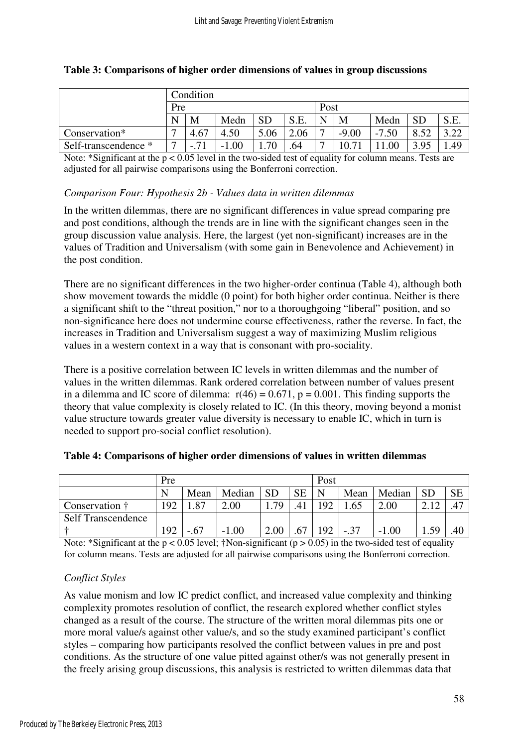|                      | Condition                |      |              |           |      |                |         |         |                |        |  |
|----------------------|--------------------------|------|--------------|-----------|------|----------------|---------|---------|----------------|--------|--|
|                      | Pre                      |      |              |           |      |                | Post    |         |                |        |  |
|                      | N                        | M    | Medn         | <b>SD</b> | S.E. | N              | M       | Medn    | <b>SD</b>      | S.E.   |  |
| Conservation*        | $\overline{\phantom{0}}$ | 4.67 | 4.50         | 5.06      | 2.06 | $\overline{ }$ | $-9.00$ | $-7.50$ | 52<br>$\Omega$ | $\sim$ |  |
| Self-transcendence * | $\overline{\phantom{0}}$ | .    | .00.<br>$-1$ | .70       | .64  | $\overline{ }$ | 0.71    | .00     | 3.95           | .49    |  |

#### **Table 3: Comparisons of higher order dimensions of values in group discussions**

Note: \*Significant at the p < 0.05 level in the two-sided test of equality for column means. Tests are adjusted for all pairwise comparisons using the Bonferroni correction.

#### *Comparison Four: Hypothesis 2b - Values data in written dilemmas*

In the written dilemmas, there are no significant differences in value spread comparing pre and post conditions, although the trends are in line with the significant changes seen in the group discussion value analysis. Here, the largest (yet non-significant) increases are in the values of Tradition and Universalism (with some gain in Benevolence and Achievement) in the post condition.

There are no significant differences in the two higher-order continua (Table 4), although both show movement towards the middle (0 point) for both higher order continua. Neither is there a significant shift to the "threat position," nor to a thoroughgoing "liberal" position, and so non-significance here does not undermine course effectiveness, rather the reverse. In fact, the increases in Tradition and Universalism suggest a way of maximizing Muslim religious values in a western context in a way that is consonant with pro-sociality.

There is a positive correlation between IC levels in written dilemmas and the number of values in the written dilemmas. Rank ordered correlation between number of values present in a dilemma and IC score of dilemma:  $r(46) = 0.671$ ,  $p = 0.001$ . This finding supports the theory that value complexity is closely related to IC. (In this theory, moving beyond a monist value structure towards greater value diversity is necessary to enable IC, which in turn is needed to support pro-social conflict resolution).

|                           | Pre |        |         |           |           | Post |        |         |           |           |
|---------------------------|-----|--------|---------|-----------|-----------|------|--------|---------|-----------|-----------|
|                           | N   | Mean   | Median  | <b>SD</b> | <b>SE</b> | N    | Mean   | Median  | <b>SD</b> | <b>SE</b> |
| Conservation †            | !92 | .87    | 2.00    | .79       | .41       | 192  | .65    | 2.00    |           | .47       |
| <b>Self Transcendence</b> |     |        |         |           |           |      |        |         |           |           |
|                           | !92 | $-.67$ | $-1.00$ | 2.00      | .67       | 192  | $-.37$ | $-1.00$ | .59       | .40       |

#### **Table 4: Comparisons of higher order dimensions of values in written dilemmas**

Note: \*Significant at the  $p < 0.05$  level; †Non-significant ( $p > 0.05$ ) in the two-sided test of equality for column means. Tests are adjusted for all pairwise comparisons using the Bonferroni correction.

#### *Conflict Styles*

As value monism and low IC predict conflict, and increased value complexity and thinking complexity promotes resolution of conflict, the research explored whether conflict styles changed as a result of the course. The structure of the written moral dilemmas pits one or more moral value/s against other value/s, and so the study examined participant's conflict styles – comparing how participants resolved the conflict between values in pre and post conditions. As the structure of one value pitted against other/s was not generally present in the freely arising group discussions, this analysis is restricted to written dilemmas data that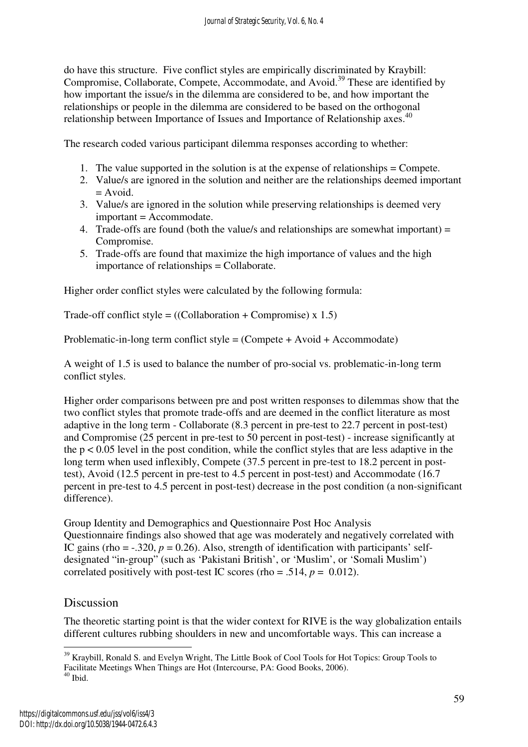do have this structure. Five conflict styles are empirically discriminated by Kraybill: Compromise, Collaborate, Compete, Accommodate, and Avoid.<sup>39</sup> These are identified by how important the issue/s in the dilemma are considered to be, and how important the relationships or people in the dilemma are considered to be based on the orthogonal relationship between Importance of Issues and Importance of Relationship axes.<sup>40</sup>

The research coded various participant dilemma responses according to whether:

- 1. The value supported in the solution is at the expense of relationships = Compete.
- 2. Value/s are ignored in the solution and neither are the relationships deemed important  $=$  Avoid.
- 3. Value/s are ignored in the solution while preserving relationships is deemed very important = Accommodate.
- 4. Trade-offs are found (both the value/s and relationships are somewhat important) = Compromise.
- 5. Trade-offs are found that maximize the high importance of values and the high importance of relationships = Collaborate.

Higher order conflict styles were calculated by the following formula:

Trade-off conflict style =  $((\text{Collaboration} + \text{Compromise}) \times 1.5)$ 

Problematic-in-long term conflict style = (Compete + Avoid + Accommodate)

A weight of 1.5 is used to balance the number of pro-social vs. problematic-in-long term conflict styles.

Higher order comparisons between pre and post written responses to dilemmas show that the two conflict styles that promote trade-offs and are deemed in the conflict literature as most adaptive in the long term - Collaborate (8.3 percent in pre-test to 22.7 percent in post-test) and Compromise (25 percent in pre-test to 50 percent in post-test) - increase significantly at the  $p < 0.05$  level in the post condition, while the conflict styles that are less adaptive in the long term when used inflexibly, Compete (37.5 percent in pre-test to 18.2 percent in posttest), Avoid (12.5 percent in pre-test to 4.5 percent in post-test) and Accommodate (16.7 percent in pre-test to 4.5 percent in post-test) decrease in the post condition (a non-significant difference).

Group Identity and Demographics and Questionnaire Post Hoc Analysis Questionnaire findings also showed that age was moderately and negatively correlated with IC gains (rho =  $-.320$ ,  $p = 0.26$ ). Also, strength of identification with participants' selfdesignated "in-group" (such as 'Pakistani British', or 'Muslim', or 'Somali Muslim') correlated positively with post-test IC scores (rho = .514,  $p = 0.012$ ).

# Discussion

The theoretic starting point is that the wider context for RIVE is the way globalization entails different cultures rubbing shoulders in new and uncomfortable ways. This can increase a

 $\overline{a}$ <sup>39</sup> Kraybill, Ronald S. and Evelyn Wright, The Little Book of Cool Tools for Hot Topics: Group Tools to Facilitate Meetings When Things are Hot (Intercourse, PA: Good Books, 2006).

 $^{40}$  Ibid.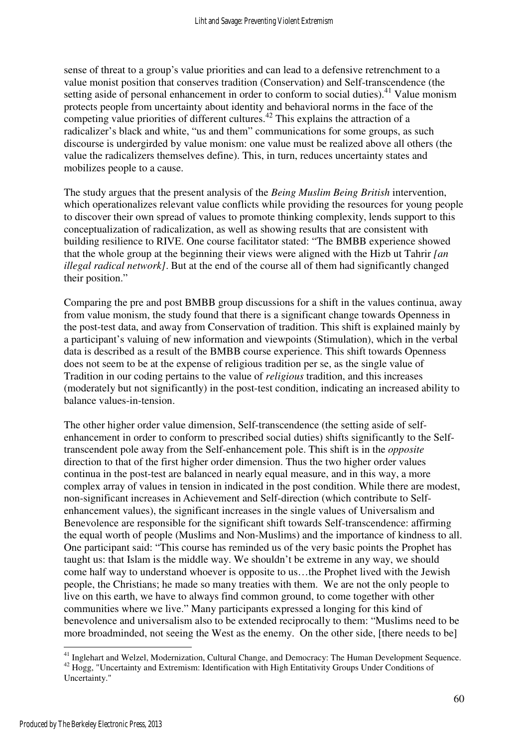sense of threat to a group's value priorities and can lead to a defensive retrenchment to a value monist position that conserves tradition (Conservation) and Self-transcendence (the setting aside of personal enhancement in order to conform to social duties).<sup>41</sup> Value monism protects people from uncertainty about identity and behavioral norms in the face of the competing value priorities of different cultures.<sup>42</sup> This explains the attraction of a radicalizer's black and white, "us and them" communications for some groups, as such discourse is undergirded by value monism: one value must be realized above all others (the value the radicalizers themselves define). This, in turn, reduces uncertainty states and mobilizes people to a cause.

The study argues that the present analysis of the *Being Muslim Being British* intervention, which operationalizes relevant value conflicts while providing the resources for young people to discover their own spread of values to promote thinking complexity, lends support to this conceptualization of radicalization, as well as showing results that are consistent with building resilience to RIVE. One course facilitator stated: "The BMBB experience showed that the whole group at the beginning their views were aligned with the Hizb ut Tahrir *[an illegal radical network]*. But at the end of the course all of them had significantly changed their position."

Comparing the pre and post BMBB group discussions for a shift in the values continua, away from value monism, the study found that there is a significant change towards Openness in the post-test data, and away from Conservation of tradition. This shift is explained mainly by a participant's valuing of new information and viewpoints (Stimulation), which in the verbal data is described as a result of the BMBB course experience. This shift towards Openness does not seem to be at the expense of religious tradition per se, as the single value of Tradition in our coding pertains to the value of *religious* tradition, and this increases (moderately but not significantly) in the post-test condition, indicating an increased ability to balance values-in-tension.

The other higher order value dimension, Self-transcendence (the setting aside of selfenhancement in order to conform to prescribed social duties) shifts significantly to the Selftranscendent pole away from the Self-enhancement pole. This shift is in the *opposite* direction to that of the first higher order dimension. Thus the two higher order values continua in the post-test are balanced in nearly equal measure, and in this way, a more complex array of values in tension in indicated in the post condition. While there are modest, non-significant increases in Achievement and Self-direction (which contribute to Selfenhancement values), the significant increases in the single values of Universalism and Benevolence are responsible for the significant shift towards Self-transcendence: affirming the equal worth of people (Muslims and Non-Muslims) and the importance of kindness to all. One participant said: "This course has reminded us of the very basic points the Prophet has taught us: that Islam is the middle way. We shouldn't be extreme in any way, we should come half way to understand whoever is opposite to us…the Prophet lived with the Jewish people, the Christians; he made so many treaties with them. We are not the only people to live on this earth, we have to always find common ground, to come together with other communities where we live." Many participants expressed a longing for this kind of benevolence and universalism also to be extended reciprocally to them: "Muslims need to be more broadminded, not seeing the West as the enemy. On the other side, [there needs to be]

<sup>&</sup>lt;sup>41</sup> Inglehart and Welzel, Modernization, Cultural Change, and Democracy: The Human Development Sequence. <sup>42</sup> Hogg, "Uncertainty and Extremism: Identification with High Entitativity Groups Under Conditions of Uncertainty."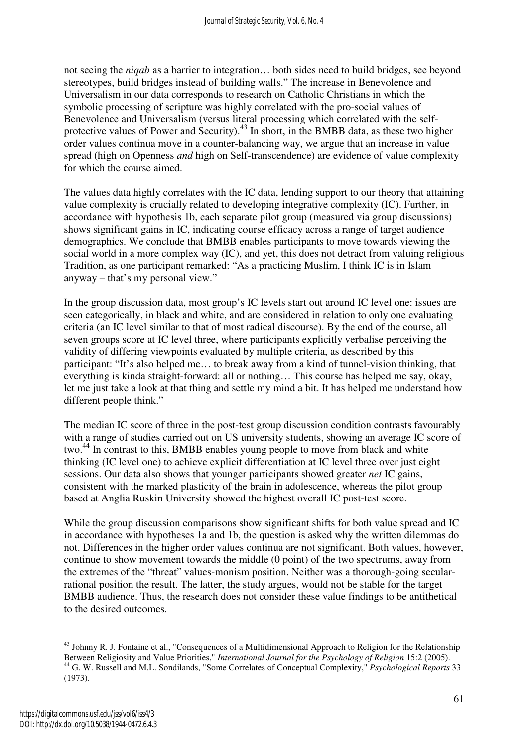not seeing the *niqab* as a barrier to integration… both sides need to build bridges, see beyond stereotypes, build bridges instead of building walls." The increase in Benevolence and Universalism in our data corresponds to research on Catholic Christians in which the symbolic processing of scripture was highly correlated with the pro-social values of Benevolence and Universalism (versus literal processing which correlated with the selfprotective values of Power and Security).<sup>43</sup> In short, in the BMBB data, as these two higher order values continua move in a counter-balancing way, we argue that an increase in value spread (high on Openness *and* high on Self-transcendence) are evidence of value complexity for which the course aimed.

The values data highly correlates with the IC data, lending support to our theory that attaining value complexity is crucially related to developing integrative complexity (IC). Further, in accordance with hypothesis 1b, each separate pilot group (measured via group discussions) shows significant gains in IC, indicating course efficacy across a range of target audience demographics. We conclude that BMBB enables participants to move towards viewing the social world in a more complex way (IC), and yet, this does not detract from valuing religious Tradition, as one participant remarked: "As a practicing Muslim, I think IC is in Islam anyway – that's my personal view."

In the group discussion data, most group's IC levels start out around IC level one: issues are seen categorically, in black and white, and are considered in relation to only one evaluating criteria (an IC level similar to that of most radical discourse). By the end of the course, all seven groups score at IC level three, where participants explicitly verbalise perceiving the validity of differing viewpoints evaluated by multiple criteria, as described by this participant: "It's also helped me… to break away from a kind of tunnel-vision thinking, that everything is kinda straight-forward: all or nothing… This course has helped me say, okay, let me just take a look at that thing and settle my mind a bit. It has helped me understand how different people think."

The median IC score of three in the post-test group discussion condition contrasts favourably with a range of studies carried out on US university students, showing an average IC score of two.<sup>44</sup> In contrast to this, BMBB enables young people to move from black and white thinking (IC level one) to achieve explicit differentiation at IC level three over just eight sessions. Our data also shows that younger participants showed greater *net* IC gains, consistent with the marked plasticity of the brain in adolescence, whereas the pilot group based at Anglia Ruskin University showed the highest overall IC post-test score.

While the group discussion comparisons show significant shifts for both value spread and IC in accordance with hypotheses 1a and 1b, the question is asked why the written dilemmas do not. Differences in the higher order values continua are not significant. Both values, however, continue to show movement towards the middle (0 point) of the two spectrums, away from the extremes of the "threat" values-monism position. Neither was a thorough-going secularrational position the result. The latter, the study argues, would not be stable for the target BMBB audience. Thus, the research does not consider these value findings to be antithetical to the desired outcomes.

<sup>&</sup>lt;sup>43</sup> Johnny R. J. Fontaine et al., "Consequences of a Multidimensional Approach to Religion for the Relationship Between Religiosity and Value Priorities," *International Journal for the Psychology of Religion* 15:2 (2005). <sup>44</sup> G. W. Russell and M.L. Sondilands, "Some Correlates of Conceptual Complexity," *Psychological Reports* 33 (1973).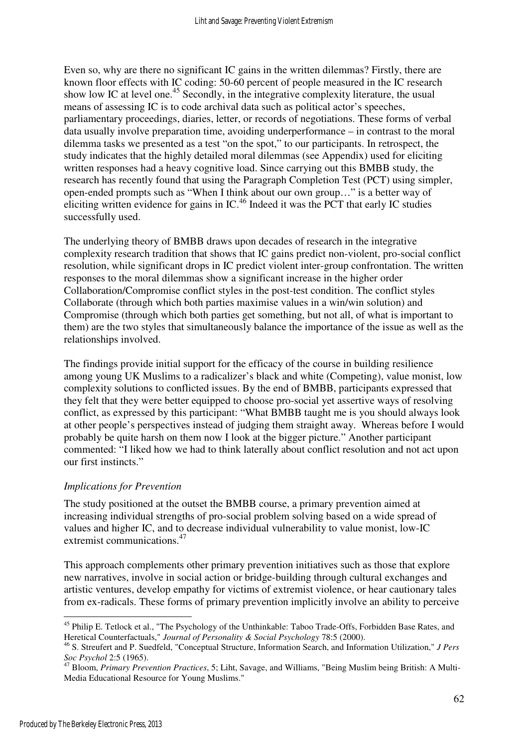Even so, why are there no significant IC gains in the written dilemmas? Firstly, there are known floor effects with IC coding: 50-60 percent of people measured in the IC research show low IC at level one.<sup>45</sup> Secondly, in the integrative complexity literature, the usual means of assessing IC is to code archival data such as political actor's speeches, parliamentary proceedings, diaries, letter, or records of negotiations. These forms of verbal data usually involve preparation time, avoiding underperformance – in contrast to the moral dilemma tasks we presented as a test "on the spot," to our participants. In retrospect, the study indicates that the highly detailed moral dilemmas (see Appendix) used for eliciting written responses had a heavy cognitive load. Since carrying out this BMBB study, the research has recently found that using the Paragraph Completion Test (PCT) using simpler, open-ended prompts such as "When I think about our own group…" is a better way of eliciting written evidence for gains in IC.<sup>46</sup> Indeed it was the PCT that early IC studies successfully used.

The underlying theory of BMBB draws upon decades of research in the integrative complexity research tradition that shows that IC gains predict non-violent, pro-social conflict resolution, while significant drops in IC predict violent inter-group confrontation. The written responses to the moral dilemmas show a significant increase in the higher order Collaboration/Compromise conflict styles in the post-test condition. The conflict styles Collaborate (through which both parties maximise values in a win/win solution) and Compromise (through which both parties get something, but not all, of what is important to them) are the two styles that simultaneously balance the importance of the issue as well as the relationships involved.

The findings provide initial support for the efficacy of the course in building resilience among young UK Muslims to a radicalizer's black and white (Competing), value monist, low complexity solutions to conflicted issues. By the end of BMBB, participants expressed that they felt that they were better equipped to choose pro-social yet assertive ways of resolving conflict, as expressed by this participant: "What BMBB taught me is you should always look at other people's perspectives instead of judging them straight away. Whereas before I would probably be quite harsh on them now I look at the bigger picture." Another participant commented: "I liked how we had to think laterally about conflict resolution and not act upon our first instincts."

#### *Implications for Prevention*

The study positioned at the outset the BMBB course, a primary prevention aimed at increasing individual strengths of pro-social problem solving based on a wide spread of values and higher IC, and to decrease individual vulnerability to value monist, low-IC extremist communications.<sup>47</sup>

This approach complements other primary prevention initiatives such as those that explore new narratives, involve in social action or bridge-building through cultural exchanges and artistic ventures, develop empathy for victims of extremist violence, or hear cautionary tales from ex-radicals. These forms of primary prevention implicitly involve an ability to perceive

 $\overline{a}$ <sup>45</sup> Philip E. Tetlock et al., "The Psychology of the Unthinkable: Taboo Trade-Offs, Forbidden Base Rates, and Heretical Counterfactuals," *Journal of Personality & Social Psychology* 78:5 (2000).

<sup>46</sup> S. Streufert and P. Suedfeld, "Conceptual Structure, Information Search, and Information Utilization," *J Pers Soc Psychol* 2:5 (1965).

<sup>47</sup> Bloom, *Primary Prevention Practices*, 5; Liht, Savage, and Williams, "Being Muslim being British: A Multi-Media Educational Resource for Young Muslims."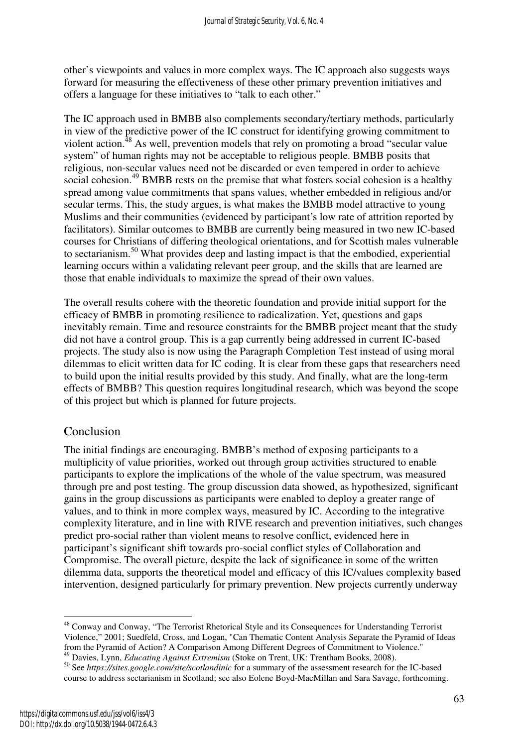other's viewpoints and values in more complex ways. The IC approach also suggests ways forward for measuring the effectiveness of these other primary prevention initiatives and offers a language for these initiatives to "talk to each other."

The IC approach used in BMBB also complements secondary/tertiary methods, particularly in view of the predictive power of the IC construct for identifying growing commitment to violent action.<sup>48</sup> As well, prevention models that rely on promoting a broad "secular value" system" of human rights may not be acceptable to religious people. BMBB posits that religious, non-secular values need not be discarded or even tempered in order to achieve social cohesion.<sup>49</sup> BMBB rests on the premise that what fosters social cohesion is a healthy spread among value commitments that spans values, whether embedded in religious and/or secular terms. This, the study argues, is what makes the BMBB model attractive to young Muslims and their communities (evidenced by participant's low rate of attrition reported by facilitators). Similar outcomes to BMBB are currently being measured in two new IC-based courses for Christians of differing theological orientations, and for Scottish males vulnerable to sectarianism.<sup>50</sup> What provides deep and lasting impact is that the embodied, experiential learning occurs within a validating relevant peer group, and the skills that are learned are those that enable individuals to maximize the spread of their own values.

The overall results cohere with the theoretic foundation and provide initial support for the efficacy of BMBB in promoting resilience to radicalization. Yet, questions and gaps inevitably remain. Time and resource constraints for the BMBB project meant that the study did not have a control group. This is a gap currently being addressed in current IC-based projects. The study also is now using the Paragraph Completion Test instead of using moral dilemmas to elicit written data for IC coding. It is clear from these gaps that researchers need to build upon the initial results provided by this study. And finally, what are the long-term effects of BMBB? This question requires longitudinal research, which was beyond the scope of this project but which is planned for future projects.

# Conclusion

The initial findings are encouraging. BMBB's method of exposing participants to a multiplicity of value priorities, worked out through group activities structured to enable participants to explore the implications of the whole of the value spectrum, was measured through pre and post testing. The group discussion data showed, as hypothesized, significant gains in the group discussions as participants were enabled to deploy a greater range of values, and to think in more complex ways, measured by IC. According to the integrative complexity literature, and in line with RIVE research and prevention initiatives, such changes predict pro-social rather than violent means to resolve conflict, evidenced here in participant's significant shift towards pro-social conflict styles of Collaboration and Compromise. The overall picture, despite the lack of significance in some of the written dilemma data, supports the theoretical model and efficacy of this IC/values complexity based intervention, designed particularly for primary prevention. New projects currently underway

 $\overline{a}$ <sup>48</sup> Conway and Conway, "The Terrorist Rhetorical Style and its Consequences for Understanding Terrorist Violence," 2001; Suedfeld, Cross, and Logan, "Can Thematic Content Analysis Separate the Pyramid of Ideas from the Pyramid of Action? A Comparison Among Different Degrees of Commitment to Violence."

<sup>49</sup> Davies, Lynn, *Educating Against Extremism* (Stoke on Trent, UK: Trentham Books, 2008).

<sup>50</sup> See *https://sites.google.com/site/scotlandinic* for a summary of the assessment research for the IC-based course to address sectarianism in Scotland; see also Eolene Boyd-MacMillan and Sara Savage, forthcoming.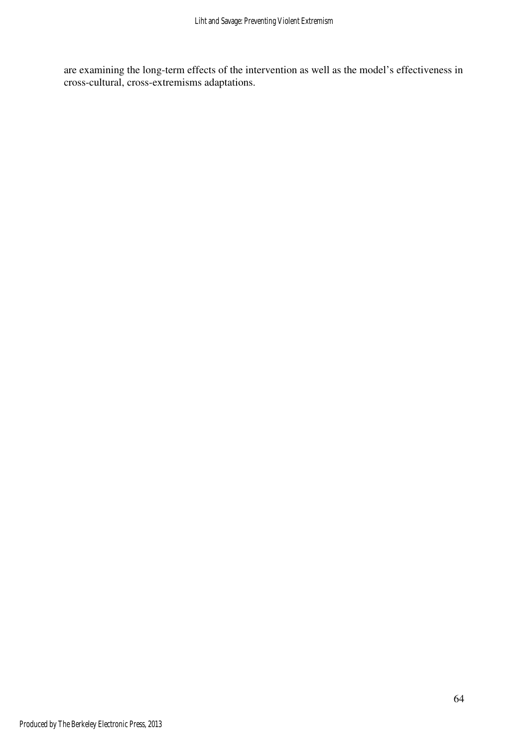are examining the long-term effects of the intervention as well as the model's effectiveness in cross-cultural, cross-extremisms adaptations.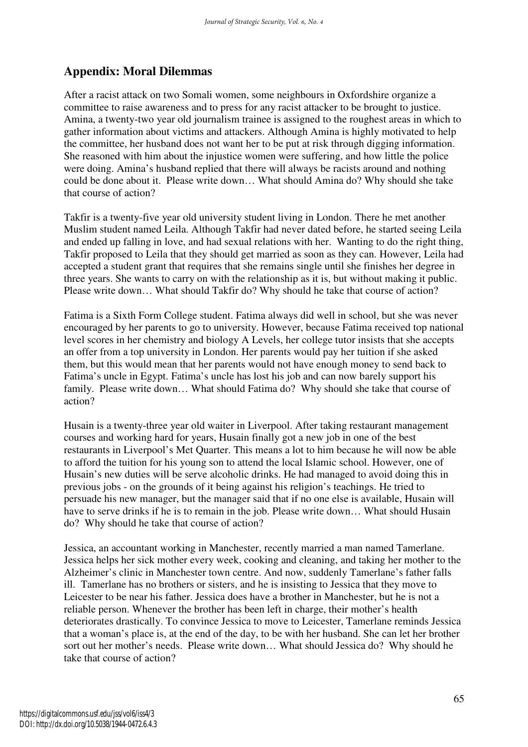# **Appendix: Moral Dilemmas**

After a racist attack on two Somali women, some neighbours in Oxfordshire organize a committee to raise awareness and to press for any racist attacker to be brought to justice. Amina, a twenty-two year old journalism trainee is assigned to the roughest areas in which to gather information about victims and attackers. Although Amina is highly motivated to help the committee, her husband does not want her to be put at risk through digging information. She reasoned with him about the injustice women were suffering, and how little the police were doing. Amina's husband replied that there will always be racists around and nothing could be done about it. Please write down… What should Amina do? Why should she take that course of action?

Takfir is a twenty-five year old university student living in London. There he met another Muslim student named Leila. Although Takfir had never dated before, he started seeing Leila and ended up falling in love, and had sexual relations with her. Wanting to do the right thing, Takfir proposed to Leila that they should get married as soon as they can. However, Leila had accepted a student grant that requires that she remains single until she finishes her degree in three years. She wants to carry on with the relationship as it is, but without making it public. Please write down… What should Takfir do? Why should he take that course of action?

Fatima is a Sixth Form College student. Fatima always did well in school, but she was never encouraged by her parents to go to university. However, because Fatima received top national level scores in her chemistry and biology A Levels, her college tutor insists that she accepts an offer from a top university in London. Her parents would pay her tuition if she asked them, but this would mean that her parents would not have enough money to send back to Fatima's uncle in Egypt. Fatima's uncle has lost his job and can now barely support his family. Please write down… What should Fatima do? Why should she take that course of action?

Husain is a twenty-three year old waiter in Liverpool. After taking restaurant management courses and working hard for years, Husain finally got a new job in one of the best restaurants in Liverpool's Met Quarter. This means a lot to him because he will now be able to afford the tuition for his young son to attend the local Islamic school. However, one of Husain's new duties will be serve alcoholic drinks. He had managed to avoid doing this in previous jobs - on the grounds of it being against his religion's teachings. He tried to persuade his new manager, but the manager said that if no one else is available, Husain will have to serve drinks if he is to remain in the job. Please write down... What should Husain do? Why should he take that course of action?

Jessica, an accountant working in Manchester, recently married a man named Tamerlane. Jessica helps her sick mother every week, cooking and cleaning, and taking her mother to the Alzheimer's clinic in Manchester town centre. And now, suddenly Tamerlane's father falls ill. Tamerlane has no brothers or sisters, and he is insisting to Jessica that they move to Leicester to be near his father. Jessica does have a brother in Manchester, but he is not a reliable person. Whenever the brother has been left in charge, their mother's health deteriorates drastically. To convince Jessica to move to Leicester, Tamerlane reminds Jessica that a woman's place is, at the end of the day, to be with her husband. She can let her brother sort out her mother's needs. Please write down… What should Jessica do? Why should he take that course of action?